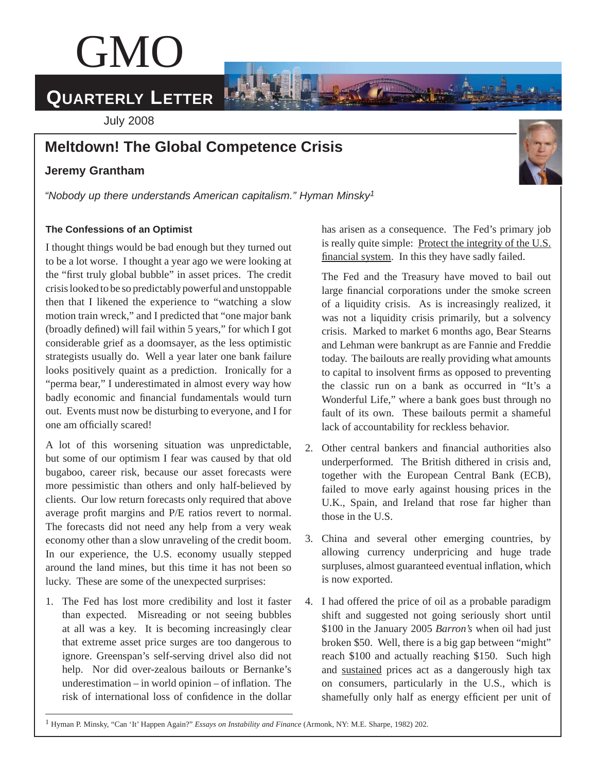# GMO

# **QUARTERLY LETTER**

July 2008

### **Meltdown! The Global Competence Crisis**

#### **Jeremy Grantham**

*"Nobody up there understands American capitalism." Hyman Minsky1*

#### **The Confessions of an Optimist**

I thought things would be bad enough but they turned out to be a lot worse. I thought a year ago we were looking at the "first truly global bubble" in asset prices. The credit crisis looked to be so predictably powerful and unstoppable then that I likened the experience to "watching a slow motion train wreck," and I predicted that "one major bank (broadly defined) will fail within  $5$  years," for which I got considerable grief as a doomsayer, as the less optimistic strategists usually do. Well a year later one bank failure looks positively quaint as a prediction. Ironically for a "perma bear," I underestimated in almost every way how badly economic and financial fundamentals would turn out. Events must now be disturbing to everyone, and I for one am officially scared!

A lot of this worsening situation was unpredictable, but some of our optimism I fear was caused by that old bugaboo, career risk, because our asset forecasts were more pessimistic than others and only half-believed by clients. Our low return forecasts only required that above average profit margins and P/E ratios revert to normal. The forecasts did not need any help from a very weak economy other than a slow unraveling of the credit boom. In our experience, the U.S. economy usually stepped around the land mines, but this time it has not been so lucky. These are some of the unexpected surprises:

1. The Fed has lost more credibility and lost it faster than expected. Misreading or not seeing bubbles at all was a key. It is becoming increasingly clear that extreme asset price surges are too dangerous to ignore. Greenspan's self-serving drivel also did not help. Nor did over-zealous bailouts or Bernanke's underestimation – in world opinion – of inflation. The risk of international loss of confidence in the dollar has arisen as a consequence. The Fed's primary job is really quite simple: Protect the integrity of the U.S. financial system. In this they have sadly failed.

 The Fed and the Treasury have moved to bail out large financial corporations under the smoke screen of a liquidity crisis. As is increasingly realized, it was not a liquidity crisis primarily, but a solvency crisis. Marked to market 6 months ago, Bear Stearns and Lehman were bankrupt as are Fannie and Freddie today. The bailouts are really providing what amounts to capital to insolvent firms as opposed to preventing the classic run on a bank as occurred in "It's a Wonderful Life," where a bank goes bust through no fault of its own. These bailouts permit a shameful lack of accountability for reckless behavior.

- 2. Other central bankers and financial authorities also underperformed. The British dithered in crisis and, together with the European Central Bank (ECB), failed to move early against housing prices in the U.K., Spain, and Ireland that rose far higher than those in the U.S.
- 3. China and several other emerging countries, by allowing currency underpricing and huge trade surpluses, almost guaranteed eventual inflation, which is now exported.
- 4. I had offered the price of oil as a probable paradigm shift and suggested not going seriously short until \$100 in the January 2005 *Barron's* when oil had just broken \$50. Well, there is a big gap between "might" reach \$100 and actually reaching \$150. Such high and sustained prices act as a dangerously high tax on consumers, particularly in the U.S., which is shamefully only half as energy efficient per unit of

1 Hyman P. Minsky, "Can 'It' Happen Again?" *Essays on Instability and Finance* (Armonk, NY: M.E. Sharpe, 1982) 202.

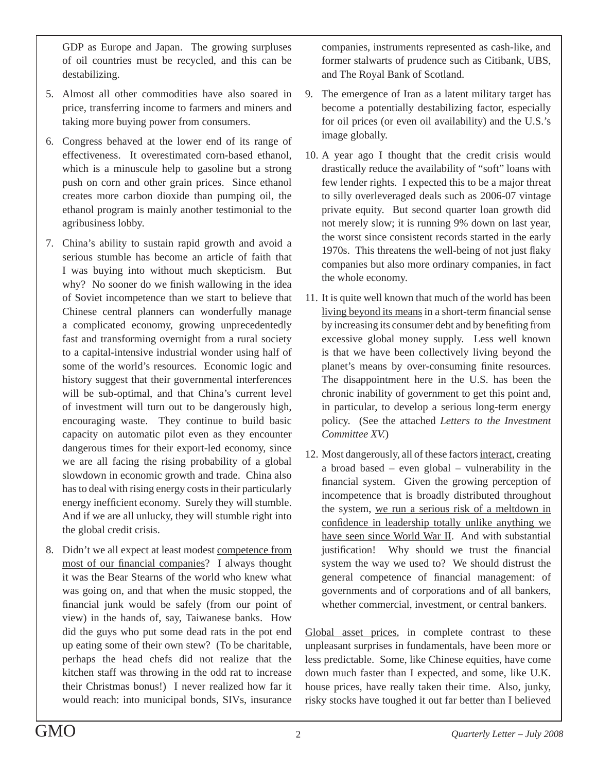GDP as Europe and Japan. The growing surpluses of oil countries must be recycled, and this can be destabilizing.

- 5. Almost all other commodities have also soared in price, transferring income to farmers and miners and taking more buying power from consumers.
- 6. Congress behaved at the lower end of its range of effectiveness. It overestimated corn-based ethanol, which is a minuscule help to gasoline but a strong push on corn and other grain prices. Since ethanol creates more carbon dioxide than pumping oil, the ethanol program is mainly another testimonial to the agribusiness lobby.
- 7. China's ability to sustain rapid growth and avoid a serious stumble has become an article of faith that I was buying into without much skepticism. But why? No sooner do we finish wallowing in the idea of Soviet incompetence than we start to believe that Chinese central planners can wonderfully manage a complicated economy, growing unprecedentedly fast and transforming overnight from a rural society to a capital-intensive industrial wonder using half of some of the world's resources. Economic logic and history suggest that their governmental interferences will be sub-optimal, and that China's current level of investment will turn out to be dangerously high, encouraging waste. They continue to build basic capacity on automatic pilot even as they encounter dangerous times for their export-led economy, since we are all facing the rising probability of a global slowdown in economic growth and trade. China also has to deal with rising energy costs in their particularly energy inefficient economy. Surely they will stumble. And if we are all unlucky, they will stumble right into the global credit crisis.
- 8. Didn't we all expect at least modest competence from most of our financial companies? I always thought it was the Bear Stearns of the world who knew what was going on, and that when the music stopped, the financial junk would be safely (from our point of view) in the hands of, say, Taiwanese banks. How did the guys who put some dead rats in the pot end up eating some of their own stew? (To be charitable, perhaps the head chefs did not realize that the kitchen staff was throwing in the odd rat to increase their Christmas bonus!) I never realized how far it would reach: into municipal bonds, SIVs, insurance

companies, instruments represented as cash-like, and former stalwarts of prudence such as Citibank, UBS, and The Royal Bank of Scotland.

- 9. The emergence of Iran as a latent military target has become a potentially destabilizing factor, especially for oil prices (or even oil availability) and the U.S.'s image globally.
- 10. A year ago I thought that the credit crisis would drastically reduce the availability of "soft" loans with few lender rights. I expected this to be a major threat to silly overleveraged deals such as 2006-07 vintage private equity. But second quarter loan growth did not merely slow; it is running 9% down on last year, the worst since consistent records started in the early 1970s. This threatens the well-being of not just flaky companies but also more ordinary companies, in fact the whole economy.
- 11. It is quite well known that much of the world has been living beyond its means in a short-term financial sense by increasing its consumer debt and by benefiting from excessive global money supply. Less well known is that we have been collectively living beyond the planet's means by over-consuming finite resources. The disappointment here in the U.S. has been the chronic inability of government to get this point and, in particular, to develop a serious long-term energy policy. (See the attached *Letters to the Investment Committee XV.*)
- 12. Most dangerously, all of these factors interact, creating a broad based – even global – vulnerability in the financial system. Given the growing perception of incompetence that is broadly distributed throughout the system, we run a serious risk of a meltdown in confidence in leadership totally unlike anything we have seen since World War II. And with substantial justification! Why should we trust the financial system the way we used to? We should distrust the general competence of financial management: of governments and of corporations and of all bankers, whether commercial, investment, or central bankers.

Global asset prices, in complete contrast to these unpleasant surprises in fundamentals, have been more or less predictable. Some, like Chinese equities, have come down much faster than I expected, and some, like U.K. house prices, have really taken their time. Also, junky, risky stocks have toughed it out far better than I believed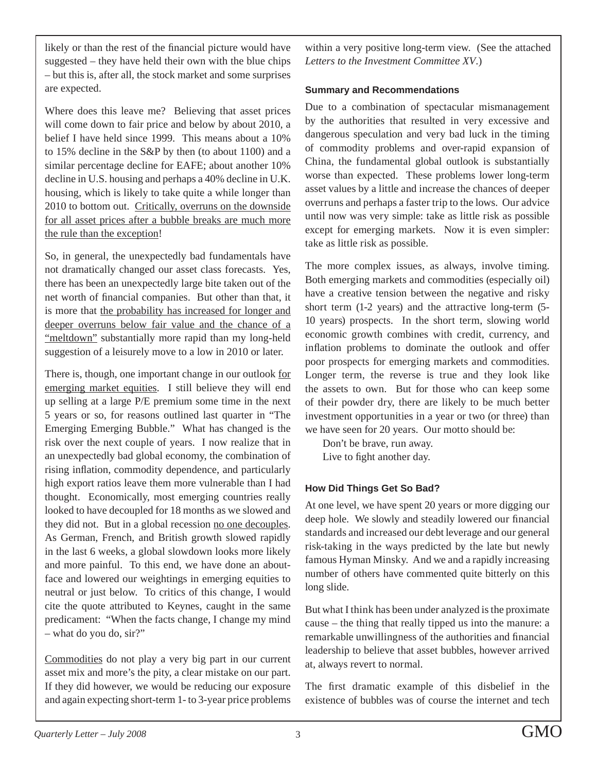likely or than the rest of the financial picture would have suggested – they have held their own with the blue chips – but this is, after all, the stock market and some surprises are expected.

Where does this leave me? Believing that asset prices will come down to fair price and below by about 2010, a belief I have held since 1999. This means about a 10% to 15% decline in the S&P by then (to about 1100) and a similar percentage decline for EAFE; about another 10% decline in U.S. housing and perhaps a 40% decline in U.K. housing, which is likely to take quite a while longer than 2010 to bottom out. Critically, overruns on the downside for all asset prices after a bubble breaks are much more the rule than the exception!

So, in general, the unexpectedly bad fundamentals have not dramatically changed our asset class forecasts. Yes, there has been an unexpectedly large bite taken out of the net worth of financial companies. But other than that, it is more that the probability has increased for longer and deeper overruns below fair value and the chance of a "meltdown" substantially more rapid than my long-held suggestion of a leisurely move to a low in 2010 or later.

There is, though, one important change in our outlook for emerging market equities. I still believe they will end up selling at a large P/E premium some time in the next 5 years or so, for reasons outlined last quarter in "The Emerging Emerging Bubble." What has changed is the risk over the next couple of years. I now realize that in an unexpectedly bad global economy, the combination of rising inflation, commodity dependence, and particularly high export ratios leave them more vulnerable than I had thought. Economically, most emerging countries really looked to have decoupled for 18 months as we slowed and they did not. But in a global recession no one decouples. As German, French, and British growth slowed rapidly in the last 6 weeks, a global slowdown looks more likely and more painful. To this end, we have done an aboutface and lowered our weightings in emerging equities to neutral or just below. To critics of this change, I would cite the quote attributed to Keynes, caught in the same predicament: "When the facts change, I change my mind – what do you do, sir?"

Commodities do not play a very big part in our current asset mix and more's the pity, a clear mistake on our part. If they did however, we would be reducing our exposure and again expecting short-term 1- to 3-year price problems

within a very positive long-term view. (See the attached *Letters to the Investment Committee XV*.)

#### **Summary and Recommendations**

Due to a combination of spectacular mismanagement by the authorities that resulted in very excessive and dangerous speculation and very bad luck in the timing of commodity problems and over-rapid expansion of China, the fundamental global outlook is substantially worse than expected. These problems lower long-term asset values by a little and increase the chances of deeper overruns and perhaps a faster trip to the lows. Our advice until now was very simple: take as little risk as possible except for emerging markets. Now it is even simpler: take as little risk as possible.

The more complex issues, as always, involve timing. Both emerging markets and commodities (especially oil) have a creative tension between the negative and risky short term (1-2 years) and the attractive long-term (5- 10 years) prospects. In the short term, slowing world economic growth combines with credit, currency, and inflation problems to dominate the outlook and offer poor prospects for emerging markets and commodities. Longer term, the reverse is true and they look like the assets to own. But for those who can keep some of their powder dry, there are likely to be much better investment opportunities in a year or two (or three) than we have seen for 20 years. Our motto should be:

 Don't be brave, run away. Live to fight another day.

#### **How Did Things Get So Bad?**

At one level, we have spent 20 years or more digging our deep hole. We slowly and steadily lowered our financial standards and increased our debt leverage and our general risk-taking in the ways predicted by the late but newly famous Hyman Minsky. And we and a rapidly increasing number of others have commented quite bitterly on this long slide.

But what I think has been under analyzed is the proximate cause – the thing that really tipped us into the manure: a remarkable unwillingness of the authorities and financial leadership to believe that asset bubbles, however arrived at, always revert to normal.

The first dramatic example of this disbelief in the existence of bubbles was of course the internet and tech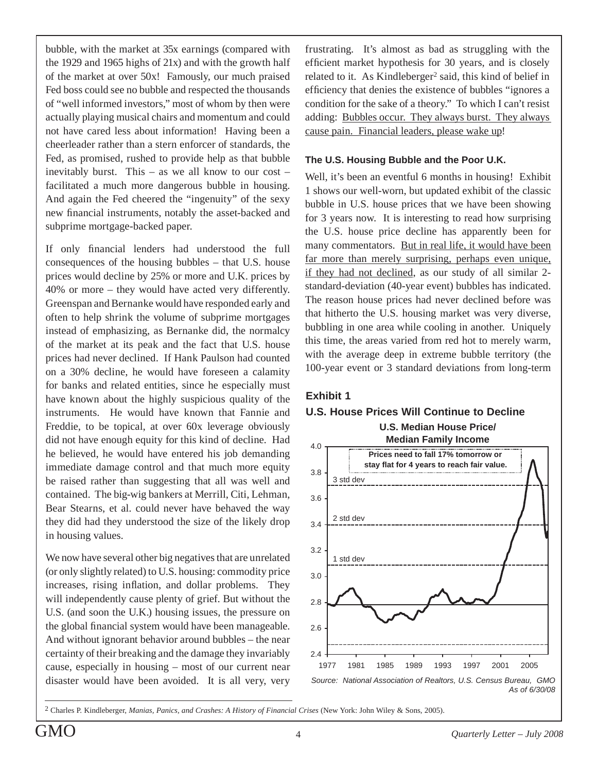bubble, with the market at 35x earnings (compared with the 1929 and 1965 highs of 21x) and with the growth half of the market at over 50x! Famously, our much praised Fed boss could see no bubble and respected the thousands of "well informed investors," most of whom by then were actually playing musical chairs and momentum and could not have cared less about information! Having been a cheerleader rather than a stern enforcer of standards, the Fed, as promised, rushed to provide help as that bubble inevitably burst. This – as we all know to our cost – facilitated a much more dangerous bubble in housing. And again the Fed cheered the "ingenuity" of the sexy new financial instruments, notably the asset-backed and subprime mortgage-backed paper.

If only financial lenders had understood the full consequences of the housing bubbles – that U.S. house prices would decline by 25% or more and U.K. prices by 40% or more – they would have acted very differently. Greenspan and Bernanke would have responded early and often to help shrink the volume of subprime mortgages instead of emphasizing, as Bernanke did, the normalcy of the market at its peak and the fact that U.S. house prices had never declined. If Hank Paulson had counted on a 30% decline, he would have foreseen a calamity for banks and related entities, since he especially must have known about the highly suspicious quality of the instruments. He would have known that Fannie and Freddie, to be topical, at over 60x leverage obviously did not have enough equity for this kind of decline. Had he believed, he would have entered his job demanding immediate damage control and that much more equity be raised rather than suggesting that all was well and contained. The big-wig bankers at Merrill, Citi, Lehman, Bear Stearns, et al. could never have behaved the way they did had they understood the size of the likely drop in housing values.

We now have several other big negatives that are unrelated (or only slightly related) to U.S. housing: commodity price increases, rising inflation, and dollar problems. They will independently cause plenty of grief. But without the U.S. (and soon the U.K.) housing issues, the pressure on the global financial system would have been manageable. And without ignorant behavior around bubbles – the near certainty of their breaking and the damage they invariably cause, especially in housing – most of our current near disaster would have been avoided. It is all very, very frustrating. It's almost as bad as struggling with the efficient market hypothesis for 30 years, and is closely related to it. As Kindleberger<sup>2</sup> said, this kind of belief in efficiency that denies the existence of bubbles "ignores a condition for the sake of a theory." To which I can't resist adding: Bubbles occur. They always burst. They always cause pain. Financial leaders, please wake up!

#### **The U.S. Housing Bubble and the Poor U.K.**

Well, it's been an eventful 6 months in housing! Exhibit 1 shows our well-worn, but updated exhibit of the classic bubble in U.S. house prices that we have been showing for 3 years now. It is interesting to read how surprising the U.S. house price decline has apparently been for many commentators. But in real life, it would have been far more than merely surprising, perhaps even unique, if they had not declined, as our study of all similar 2 standard-deviation (40-year event) bubbles has indicated. The reason house prices had never declined before was that hitherto the U.S. housing market was very diverse, bubbling in one area while cooling in another. Uniquely this time, the areas varied from red hot to merely warm, with the average deep in extreme bubble territory (the 100-year event or 3 standard deviations from long-term

#### **Exhibit 1**

#### **U.S. House Prices Will Continue to Decline**



2 Charles P. Kindleberger, *Manias, Panics, and Crashes: A History of Financial Crises* (New York: John Wiley & Sons, 2005).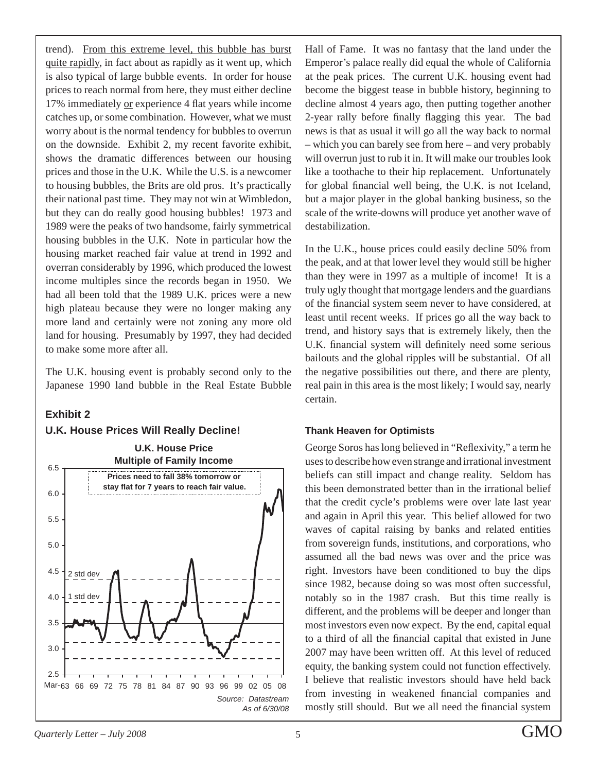trend). From this extreme level, this bubble has burst quite rapidly, in fact about as rapidly as it went up, which is also typical of large bubble events. In order for house prices to reach normal from here, they must either decline 17% immediately or experience 4 flat years while income catches up, or some combination. However, what we must worry about is the normal tendency for bubbles to overrun on the downside. Exhibit 2, my recent favorite exhibit, shows the dramatic differences between our housing prices and those in the U.K. While the U.S. is a newcomer to housing bubbles, the Brits are old pros. It's practically their national past time. They may not win at Wimbledon, but they can do really good housing bubbles! 1973 and 1989 were the peaks of two handsome, fairly symmetrical housing bubbles in the U.K. Note in particular how the housing market reached fair value at trend in 1992 and overran considerably by 1996, which produced the lowest income multiples since the records began in 1950. We had all been told that the 1989 U.K. prices were a new high plateau because they were no longer making any more land and certainly were not zoning any more old land for housing. Presumably by 1997, they had decided to make some more after all.

The U.K. housing event is probably second only to the Japanese 1990 land bubble in the Real Estate Bubble

#### **Exhibit 2**



Hall of Fame. It was no fantasy that the land under the Emperor's palace really did equal the whole of California at the peak prices. The current U.K. housing event had become the biggest tease in bubble history, beginning to decline almost 4 years ago, then putting together another 2-year rally before finally flagging this year. The bad news is that as usual it will go all the way back to normal – which you can barely see from here – and very probably will overrun just to rub it in. It will make our troubles look like a toothache to their hip replacement. Unfortunately for global financial well being, the U.K. is not Iceland, but a major player in the global banking business, so the scale of the write-downs will produce yet another wave of destabilization.

In the U.K., house prices could easily decline 50% from the peak, and at that lower level they would still be higher than they were in 1997 as a multiple of income! It is a truly ugly thought that mortgage lenders and the guardians of the financial system seem never to have considered, at least until recent weeks. If prices go all the way back to trend, and history says that is extremely likely, then the U.K. financial system will definitely need some serious bailouts and the global ripples will be substantial. Of all the negative possibilities out there, and there are plenty, real pain in this area is the most likely; I would say, nearly certain.

#### **Thank Heaven for Optimists**

George Soros has long believed in "Reflexivity," a term he uses to describe how even strange and irrational investment beliefs can still impact and change reality. Seldom has this been demonstrated better than in the irrational belief that the credit cycle's problems were over late last year and again in April this year. This belief allowed for two waves of capital raising by banks and related entities from sovereign funds, institutions, and corporations, who assumed all the bad news was over and the price was right. Investors have been conditioned to buy the dips since 1982, because doing so was most often successful, notably so in the 1987 crash. But this time really is different, and the problems will be deeper and longer than most investors even now expect. By the end, capital equal to a third of all the financial capital that existed in June 2007 may have been written off. At this level of reduced equity, the banking system could not function effectively. I believe that realistic investors should have held back from investing in weakened financial companies and mostly still should. But we all need the financial system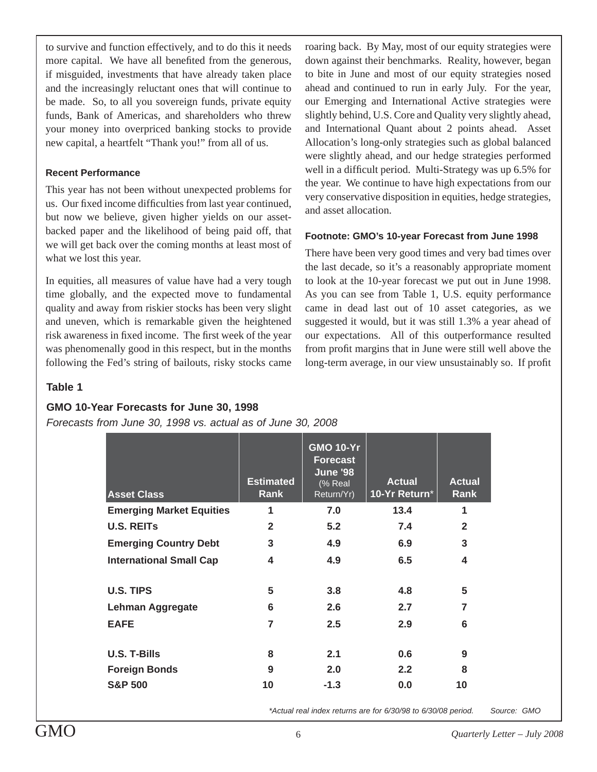to survive and function effectively, and to do this it needs more capital. We have all benefited from the generous, if misguided, investments that have already taken place and the increasingly reluctant ones that will continue to be made. So, to all you sovereign funds, private equity funds, Bank of Americas, and shareholders who threw your money into overpriced banking stocks to provide new capital, a heartfelt "Thank you!" from all of us.

#### **Recent Performance**

This year has not been without unexpected problems for us. Our fixed income difficulties from last year continued, but now we believe, given higher yields on our assetbacked paper and the likelihood of being paid off, that we will get back over the coming months at least most of what we lost this year.

In equities, all measures of value have had a very tough time globally, and the expected move to fundamental quality and away from riskier stocks has been very slight and uneven, which is remarkable given the heightened risk awareness in fixed income. The first week of the year was phenomenally good in this respect, but in the months following the Fed's string of bailouts, risky stocks came roaring back. By May, most of our equity strategies were down against their benchmarks. Reality, however, began to bite in June and most of our equity strategies nosed ahead and continued to run in early July. For the year, our Emerging and International Active strategies were slightly behind, U.S. Core and Quality very slightly ahead, and International Quant about 2 points ahead. Asset Allocation's long-only strategies such as global balanced were slightly ahead, and our hedge strategies performed well in a difficult period. Multi-Strategy was up 6.5% for the year. We continue to have high expectations from our very conservative disposition in equities, hedge strategies, and asset allocation.

#### **Footnote: GMO's 10-year Forecast from June 1998**

There have been very good times and very bad times over the last decade, so it's a reasonably appropriate moment to look at the 10-year forecast we put out in June 1998. As you can see from Table 1, U.S. equity performance came in dead last out of 10 asset categories, as we suggested it would, but it was still 1.3% a year ahead of our expectations. All of this outperformance resulted from profit margins that in June were still well above the long-term average, in our view unsustainably so. If profit

#### **Table 1**

#### **GMO 10-Year Forecasts for June 30, 1998**

*Forecasts from June 30, 1998 vs. actual as of June 30, 2008*

| <b>Asset Class</b>              | <b>Estimated</b><br>Rank | <b>GMO 10-Yr</b><br><b>Forecast</b><br><b>June '98</b><br>(% Real<br>Return/Yr) | <b>Actual</b><br>10-Yr Return* | <b>Actual</b><br>Rank |
|---------------------------------|--------------------------|---------------------------------------------------------------------------------|--------------------------------|-----------------------|
| <b>Emerging Market Equities</b> | 1                        | 7.0                                                                             | 13.4                           | 1                     |
| <b>U.S. REITS</b>               | $\mathbf{2}$             | 5.2                                                                             | 7.4                            | $\mathbf{2}$          |
| <b>Emerging Country Debt</b>    | 3                        | 4.9                                                                             | 6.9                            | 3                     |
| <b>International Small Cap</b>  | 4                        | 4.9                                                                             | 6.5                            | 4                     |
| <b>U.S. TIPS</b>                | 5                        | 3.8                                                                             | 4.8                            | 5                     |
| <b>Lehman Aggregate</b>         | 6                        | 2.6                                                                             | 2.7                            | 7                     |
| <b>EAFE</b>                     | 7                        | 2.5                                                                             | 2.9                            | 6                     |
| <b>U.S. T-Bills</b>             | 8                        | 2.1                                                                             | 0.6                            | 9                     |
| <b>Foreign Bonds</b>            | 9                        | 2.0                                                                             | $2.2^{\circ}$                  | 8                     |
| <b>S&amp;P 500</b>              | 10                       | $-1.3$                                                                          | 0.0                            | 10                    |

*\*Actual real index returns are for 6/30/98 to 6/30/08 period. Source: GMO*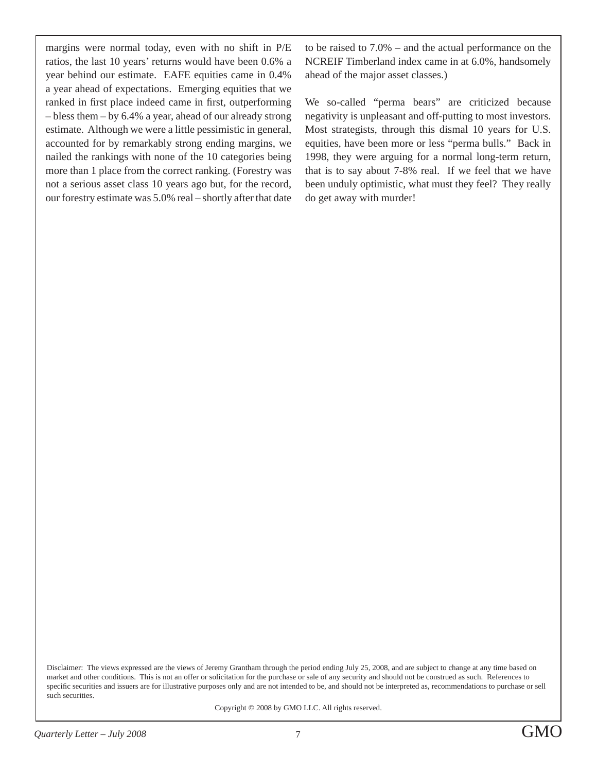margins were normal today, even with no shift in P/E ratios, the last 10 years' returns would have been 0.6% a year behind our estimate. EAFE equities came in 0.4% a year ahead of expectations. Emerging equities that we ranked in first place indeed came in first, outperforming – bless them – by 6.4% a year, ahead of our already strong estimate. Although we were a little pessimistic in general, accounted for by remarkably strong ending margins, we nailed the rankings with none of the 10 categories being more than 1 place from the correct ranking. (Forestry was not a serious asset class 10 years ago but, for the record, our forestry estimate was 5.0% real – shortly after that date to be raised to 7.0% – and the actual performance on the NCREIF Timberland index came in at 6.0%, handsomely ahead of the major asset classes.)

We so-called "perma bears" are criticized because negativity is unpleasant and off-putting to most investors. Most strategists, through this dismal 10 years for U.S. equities, have been more or less "perma bulls." Back in 1998, they were arguing for a normal long-term return, that is to say about 7-8% real. If we feel that we have been unduly optimistic, what must they feel? They really do get away with murder!

Disclaimer: The views expressed are the views of Jeremy Grantham through the period ending July 25, 2008, and are subject to change at any time based on market and other conditions. This is not an offer or solicitation for the purchase or sale of any security and should not be construed as such. References to specific securities and issuers are for illustrative purposes only and are not intended to be, and should not be interpreted as, recommendations to purchase or sell such securities.

Copyright © 2008 by GMO LLC. All rights reserved.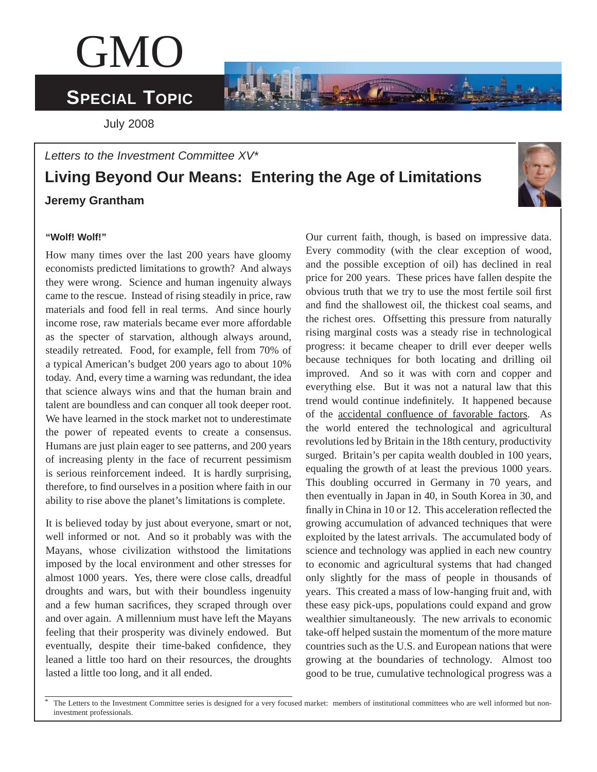# GMO

## **SPECIAL TOPIC**

July 2008

*Letters to the Investment Committee XV\**

### **Living Beyond Our Means: Entering the Age of Limitations Jeremy Grantham**



How many times over the last 200 years have gloomy economists predicted limitations to growth? And always they were wrong. Science and human ingenuity always came to the rescue. Instead of rising steadily in price, raw materials and food fell in real terms. And since hourly income rose, raw materials became ever more affordable as the specter of starvation, although always around, steadily retreated. Food, for example, fell from 70% of a typical American's budget 200 years ago to about 10% today. And, every time a warning was redundant, the idea that science always wins and that the human brain and talent are boundless and can conquer all took deeper root. We have learned in the stock market not to underestimate the power of repeated events to create a consensus. Humans are just plain eager to see patterns, and 200 years of increasing plenty in the face of recurrent pessimism is serious reinforcement indeed. It is hardly surprising, therefore, to find ourselves in a position where faith in our ability to rise above the planet's limitations is complete.

It is believed today by just about everyone, smart or not, well informed or not. And so it probably was with the Mayans, whose civilization withstood the limitations imposed by the local environment and other stresses for almost 1000 years. Yes, there were close calls, dreadful droughts and wars, but with their boundless ingenuity and a few human sacrifices, they scraped through over and over again. A millennium must have left the Mayans feeling that their prosperity was divinely endowed. But eventually, despite their time-baked confidence, they leaned a little too hard on their resources, the droughts lasted a little too long, and it all ended.

Our current faith, though, is based on impressive data. Every commodity (with the clear exception of wood, and the possible exception of oil) has declined in real price for 200 years. These prices have fallen despite the obvious truth that we try to use the most fertile soil first and find the shallowest oil, the thickest coal seams, and the richest ores. Offsetting this pressure from naturally rising marginal costs was a steady rise in technological progress: it became cheaper to drill ever deeper wells because techniques for both locating and drilling oil improved. And so it was with corn and copper and everything else. But it was not a natural law that this trend would continue indefinitely. It happened because of the accidental confluence of favorable factors. As the world entered the technological and agricultural revolutions led by Britain in the 18th century, productivity surged. Britain's per capita wealth doubled in 100 years, equaling the growth of at least the previous 1000 years. This doubling occurred in Germany in 70 years, and then eventually in Japan in 40, in South Korea in 30, and finally in China in 10 or 12. This acceleration reflected the growing accumulation of advanced techniques that were exploited by the latest arrivals. The accumulated body of science and technology was applied in each new country to economic and agricultural systems that had changed only slightly for the mass of people in thousands of years. This created a mass of low-hanging fruit and, with these easy pick-ups, populations could expand and grow wealthier simultaneously. The new arrivals to economic take-off helped sustain the momentum of the more mature countries such as the U.S. and European nations that were growing at the boundaries of technology. Almost too good to be true, cumulative technological progress was a



The Letters to the Investment Committee series is designed for a very focused market: members of institutional committees who are well informed but noninvestment professionals.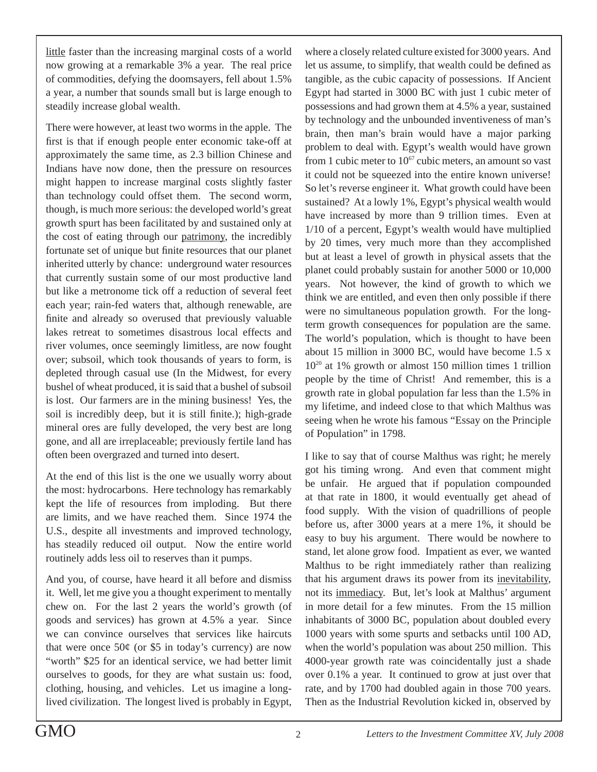little faster than the increasing marginal costs of a world now growing at a remarkable 3% a year. The real price of commodities, defying the doomsayers, fell about 1.5% a year, a number that sounds small but is large enough to steadily increase global wealth.

There were however, at least two worms in the apple. The first is that if enough people enter economic take-off at approximately the same time, as 2.3 billion Chinese and Indians have now done, then the pressure on resources might happen to increase marginal costs slightly faster than technology could offset them. The second worm, though, is much more serious: the developed world's great growth spurt has been facilitated by and sustained only at the cost of eating through our patrimony, the incredibly fortunate set of unique but finite resources that our planet inherited utterly by chance: underground water resources that currently sustain some of our most productive land but like a metronome tick off a reduction of several feet each year; rain-fed waters that, although renewable, are finite and already so overused that previously valuable lakes retreat to sometimes disastrous local effects and river volumes, once seemingly limitless, are now fought over; subsoil, which took thousands of years to form, is depleted through casual use (In the Midwest, for every bushel of wheat produced, it is said that a bushel of subsoil is lost. Our farmers are in the mining business! Yes, the soil is incredibly deep, but it is still finite.); high-grade mineral ores are fully developed, the very best are long gone, and all are irreplaceable; previously fertile land has often been overgrazed and turned into desert.

At the end of this list is the one we usually worry about the most: hydrocarbons. Here technology has remarkably kept the life of resources from imploding. But there are limits, and we have reached them. Since 1974 the U.S., despite all investments and improved technology, has steadily reduced oil output. Now the entire world routinely adds less oil to reserves than it pumps.

And you, of course, have heard it all before and dismiss it. Well, let me give you a thought experiment to mentally chew on. For the last 2 years the world's growth (of goods and services) has grown at 4.5% a year. Since we can convince ourselves that services like haircuts that were once  $50¢$  (or \$5 in today's currency) are now "worth" \$25 for an identical service, we had better limit ourselves to goods, for they are what sustain us: food, clothing, housing, and vehicles. Let us imagine a longlived civilization. The longest lived is probably in Egypt, where a closely related culture existed for 3000 years. And let us assume, to simplify, that wealth could be defined as tangible, as the cubic capacity of possessions. If Ancient Egypt had started in 3000 BC with just 1 cubic meter of possessions and had grown them at 4.5% a year, sustained by technology and the unbounded inventiveness of man's brain, then man's brain would have a major parking problem to deal with. Egypt's wealth would have grown from 1 cubic meter to  $10^{67}$  cubic meters, an amount so vast it could not be squeezed into the entire known universe! So let's reverse engineer it. What growth could have been sustained? At a lowly 1%, Egypt's physical wealth would have increased by more than 9 trillion times. Even at 1/10 of a percent, Egypt's wealth would have multiplied by 20 times, very much more than they accomplished but at least a level of growth in physical assets that the planet could probably sustain for another 5000 or 10,000 years. Not however, the kind of growth to which we think we are entitled, and even then only possible if there were no simultaneous population growth. For the longterm growth consequences for population are the same. The world's population, which is thought to have been about 15 million in 3000 BC, would have become 1.5 x  $10^{20}$  at 1% growth or almost 150 million times 1 trillion people by the time of Christ! And remember, this is a growth rate in global population far less than the 1.5% in my lifetime, and indeed close to that which Malthus was seeing when he wrote his famous "Essay on the Principle of Population" in 1798.

I like to say that of course Malthus was right; he merely got his timing wrong. And even that comment might be unfair. He argued that if population compounded at that rate in 1800, it would eventually get ahead of food supply. With the vision of quadrillions of people before us, after 3000 years at a mere 1%, it should be easy to buy his argument. There would be nowhere to stand, let alone grow food. Impatient as ever, we wanted Malthus to be right immediately rather than realizing that his argument draws its power from its inevitability, not its immediacy. But, let's look at Malthus' argument in more detail for a few minutes. From the 15 million inhabitants of 3000 BC, population about doubled every 1000 years with some spurts and setbacks until 100 AD, when the world's population was about 250 million. This 4000-year growth rate was coincidentally just a shade over 0.1% a year. It continued to grow at just over that rate, and by 1700 had doubled again in those 700 years. Then as the Industrial Revolution kicked in, observed by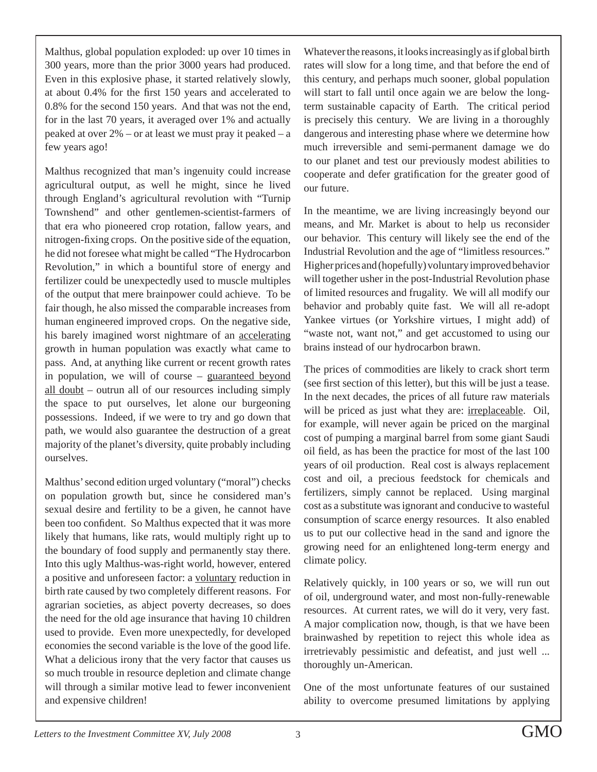Malthus, global population exploded: up over 10 times in 300 years, more than the prior 3000 years had produced. Even in this explosive phase, it started relatively slowly, at about 0.4% for the first 150 years and accelerated to 0.8% for the second 150 years. And that was not the end, for in the last 70 years, it averaged over 1% and actually peaked at over 2% – or at least we must pray it peaked – a few years ago!

Malthus recognized that man's ingenuity could increase agricultural output, as well he might, since he lived through England's agricultural revolution with "Turnip Townshend" and other gentlemen-scientist-farmers of that era who pioneered crop rotation, fallow years, and nitrogen-fixing crops. On the positive side of the equation, he did not foresee what might be called "The Hydrocarbon Revolution," in which a bountiful store of energy and fertilizer could be unexpectedly used to muscle multiples of the output that mere brainpower could achieve. To be fair though, he also missed the comparable increases from human engineered improved crops. On the negative side, his barely imagined worst nightmare of an accelerating growth in human population was exactly what came to pass. And, at anything like current or recent growth rates in population, we will of course – guaranteed beyond all doubt – outrun all of our resources including simply the space to put ourselves, let alone our burgeoning possessions. Indeed, if we were to try and go down that path, we would also guarantee the destruction of a great majority of the planet's diversity, quite probably including ourselves.

Malthus' second edition urged voluntary ("moral") checks on population growth but, since he considered man's sexual desire and fertility to be a given, he cannot have been too confident. So Malthus expected that it was more likely that humans, like rats, would multiply right up to the boundary of food supply and permanently stay there. Into this ugly Malthus-was-right world, however, entered a positive and unforeseen factor: a voluntary reduction in birth rate caused by two completely different reasons. For agrarian societies, as abject poverty decreases, so does the need for the old age insurance that having 10 children used to provide. Even more unexpectedly, for developed economies the second variable is the love of the good life. What a delicious irony that the very factor that causes us so much trouble in resource depletion and climate change will through a similar motive lead to fewer inconvenient and expensive children!

Whatever the reasons, it looks increasingly as if global birth rates will slow for a long time, and that before the end of this century, and perhaps much sooner, global population will start to fall until once again we are below the longterm sustainable capacity of Earth. The critical period is precisely this century. We are living in a thoroughly dangerous and interesting phase where we determine how much irreversible and semi-permanent damage we do to our planet and test our previously modest abilities to cooperate and defer gratification for the greater good of our future.

In the meantime, we are living increasingly beyond our means, and Mr. Market is about to help us reconsider our behavior. This century will likely see the end of the Industrial Revolution and the age of "limitless resources." Higher prices and (hopefully) voluntary improved behavior will together usher in the post-Industrial Revolution phase of limited resources and frugality. We will all modify our behavior and probably quite fast. We will all re-adopt Yankee virtues (or Yorkshire virtues, I might add) of "waste not, want not," and get accustomed to using our brains instead of our hydrocarbon brawn.

The prices of commodities are likely to crack short term (see first section of this letter), but this will be just a tease. In the next decades, the prices of all future raw materials will be priced as just what they are: irreplaceable. Oil, for example, will never again be priced on the marginal cost of pumping a marginal barrel from some giant Saudi oil field, as has been the practice for most of the last 100 years of oil production. Real cost is always replacement cost and oil, a precious feedstock for chemicals and fertilizers, simply cannot be replaced. Using marginal cost as a substitute was ignorant and conducive to wasteful consumption of scarce energy resources. It also enabled us to put our collective head in the sand and ignore the growing need for an enlightened long-term energy and climate policy.

Relatively quickly, in 100 years or so, we will run out of oil, underground water, and most non-fully-renewable resources. At current rates, we will do it very, very fast. A major complication now, though, is that we have been brainwashed by repetition to reject this whole idea as irretrievably pessimistic and defeatist, and just well ... thoroughly un-American.

One of the most unfortunate features of our sustained ability to overcome presumed limitations by applying